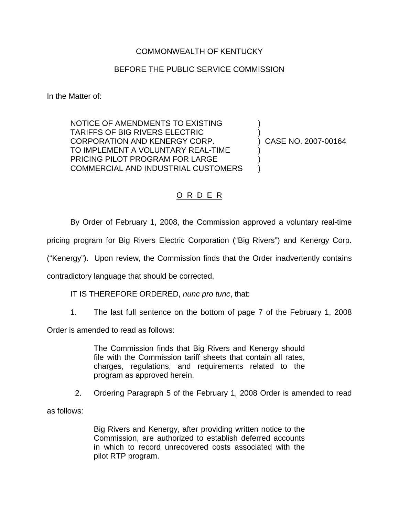## COMMONWEALTH OF KENTUCKY

## BEFORE THE PUBLIC SERVICE COMMISSION

In the Matter of:

NOTICE OF AMENDMENTS TO EXISTING ) TARIFFS OF BIG RIVERS ELECTRIC ) CORPORATION AND KENERGY CORP. ) CASE NO. 2007-00164 TO IMPLEMENT A VOLUNTARY REAL-TIME PRICING PILOT PROGRAM FOR LARGE COMMERCIAL AND INDUSTRIAL CUSTOMERS )

## O R D E R

By Order of February 1, 2008, the Commission approved a voluntary real-time

pricing program for Big Rivers Electric Corporation ("Big Rivers") and Kenergy Corp.

("Kenergy"). Upon review, the Commission finds that the Order inadvertently contains

contradictory language that should be corrected.

IT IS THEREFORE ORDERED, *nunc pro tunc*, that:

1. The last full sentence on the bottom of page 7 of the February 1, 2008

Order is amended to read as follows:

The Commission finds that Big Rivers and Kenergy should file with the Commission tariff sheets that contain all rates, charges, regulations, and requirements related to the program as approved herein.

2. Ordering Paragraph 5 of the February 1, 2008 Order is amended to read

as follows:

Big Rivers and Kenergy, after providing written notice to the Commission, are authorized to establish deferred accounts in which to record unrecovered costs associated with the pilot RTP program.